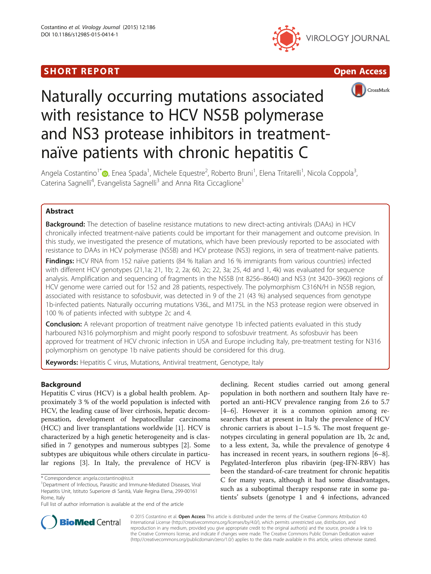## I SHORT REPORT AND THE RESERVE EXPLORER TO A SHOP OPEN ACCESS.







# Naturally occurring mutations associated with resistance to HCV NS5B polymerase and NS3 protease inhibitors in treatmentnaïve patients with chronic hepatitis C

Angela Costantino<sup>1\*</sup>�[,](http://orcid.org/0000-0003-2897-3595) Enea Spada<sup>1</sup>, Michele Equestre<sup>2</sup>, Roberto Bruni<sup>1</sup>, Elena Tritarelli<sup>1</sup>, Nicola Coppola<sup>3</sup> , Caterina Sagnelli<sup>4</sup>, Evangelista Sagnelli<sup>3</sup> and Anna Rita Ciccaglione<sup>1</sup>

## Abstract

**Background:** The detection of baseline resistance mutations to new direct-acting antivirals (DAAs) in HCV chronically infected treatment-naïve patients could be important for their management and outcome prevision. In this study, we investigated the presence of mutations, which have been previously reported to be associated with resistance to DAAs in HCV polymerase (NS5B) and HCV protease (NS3) regions, in sera of treatment-naïve patients.

Findings: HCV RNA from 152 naïve patients (84 % Italian and 16 % immigrants from various countries) infected with different HCV genotypes (21,1a; 21, 1b; 2, 2a; 60, 2c; 22, 3a; 25, 4d and 1, 4k) was evaluated for sequence analysis. Amplification and sequencing of fragments in the NS5B (nt 8256–8640) and NS3 (nt 3420–3960) regions of HCV genome were carried out for 152 and 28 patients, respectively. The polymorphism C316N/H in NS5B region, associated with resistance to sofosbuvir, was detected in 9 of the 21 (43 %) analysed sequences from genotype 1b-infected patients. Naturally occurring mutations V36L, and M175L in the NS3 protease region were observed in 100 % of patients infected with subtype 2c and 4.

**Conclusion:** A relevant proportion of treatment naïve genotype 1b infected patients evaluated in this study harboured N316 polymorphism and might poorly respond to sofosbuvir treatment. As sofosbuvir has been approved for treatment of HCV chronic infection in USA and Europe including Italy, pre-treatment testing for N316 polymorphism on genotype 1b naïve patients should be considered for this drug.

Keywords: Hepatitis C virus, Mutations, Antiviral treatment, Genotype, Italy

## Background

Hepatitis C virus (HCV) is a global health problem. Approximately 3 % of the world population is infected with HCV, the leading cause of liver cirrhosis, hepatic decompensation, development of hepatocellular carcinoma (HCC) and liver transplantations worldwide [[1\]](#page-4-0). HCV is characterized by a high genetic heterogeneity and is classified in 7 genotypes and numerous subtypes [[2\]](#page-4-0). Some subtypes are ubiquitous while others circulate in particular regions [\[3](#page-4-0)]. In Italy, the prevalence of HCV is

declining. Recent studies carried out among general population in both northern and southern Italy have reported an anti-HCV prevalence ranging from 2.6 to 5.7 [[4](#page-4-0)–[6\]](#page-4-0). However it is a common opinion among researchers that at present in Italy the prevalence of HCV chronic carriers is about  $1-1.5$  %. The most frequent genotypes circulating in general population are 1b, 2c and, to a less extent, 3a, while the prevalence of genotype 4 has increased in recent years, in southern regions [\[6](#page-4-0)–[8](#page-4-0)]. Pegylated-Interferon plus ribavirin (peg-IFN-RBV) has been the standard-of-care treatment for chronic hepatitis C for many years, although it had some disadvantages, such as a suboptimal therapy response rate in some patients' subsets (genotype 1 and 4 infections, advanced



© 2015 Costantino et al. Open Access This article is distributed under the terms of the Creative Commons Attribution 4.0 International License [\(http://creativecommons.org/licenses/by/4.0/](http://creativecommons.org/licenses/by/4.0/)), which permits unrestricted use, distribution, and reproduction in any medium, provided you give appropriate credit to the original author(s) and the source, provide a link to the Creative Commons license, and indicate if changes were made. The Creative Commons Public Domain Dedication waiver [\(http://creativecommons.org/publicdomain/zero/1.0/](http://creativecommons.org/publicdomain/zero/1.0/)) applies to the data made available in this article, unless otherwise stated.

<sup>\*</sup> Correspondence: [angela.costantino@iss.it](mailto:angela.costantino@iss.it) <sup>1</sup>

Department of Infectious, Parasitic and Immune-Mediated Diseases, Viral Hepatitis Unit, Istituto Superiore di Sanità, Viale Regina Elena, 299-00161 Rome, Italy

Full list of author information is available at the end of the article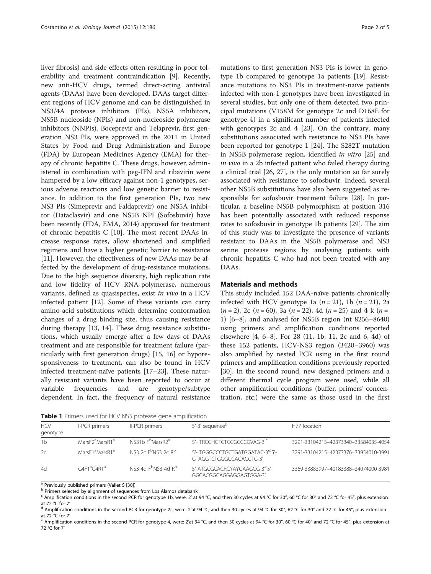<span id="page-1-0"></span>liver fibrosis) and side effects often resulting in poor tolerability and treatment contraindication [[9](#page-4-0)]. Recently, new anti-HCV drugs, termed direct-acting antiviral agents (DAAs) have been developed. DAAs target different regions of HCV genome and can be distinguished in NS3/4A protease inhibitors (PIs), NS5A inhibitors, NS5B nucleoside (NPIs) and non-nucleoside polymerase inhibitors (NNPIs). Boceprevir and Telaprevir, first generation NS3 PIs, were approved in the 2011 in United States by Food and Drug Administration and Europe (FDA) by European Medicines Agency (EMA) for therapy of chronic hepatitis C. These drugs, however, administered in combination with peg-IFN and ribavirin were hampered by a low efficacy against non-1 genotypes, serious adverse reactions and low genetic barrier to resistance. In addition to the first generation PIs, two new NS3 PIs (Simeprevir and Faldaprevir) one NS5A inhibitor (Dataclasvir) and one NS5B NPI (Sofosbuvir) have been recently (FDA, EMA, 2014) approved for treatment of chronic hepatitis C [\[10](#page-4-0)]. The most recent DAAs increase response rates, allow shortened and simplified regimens and have a higher genetic barrier to resistance [[11\]](#page-4-0). However, the effectiveness of new DAAs may be affected by the development of drug-resistance mutations. Due to the high sequence diversity, high replication rate and low fidelity of HCV RNA-polymerase, numerous variants, defined as quasispecies, exist in vivo in a HCV infected patient [[12\]](#page-4-0). Some of these variants can carry amino-acid substitutions which determine conformation changes of a drug binding site, thus causing resistance during therapy [\[13, 14\]](#page-4-0). These drug resistance substitutions, which usually emerge after a few days of DAAs treatment and are responsible for treatment failure (particularly with first generation drugs) [\[15, 16\]](#page-4-0) or hyporesponsiveness to treatment, can also be found in HCV infected treatment-naïve patients [[17](#page-4-0)–[23](#page-4-0)]. These naturally resistant variants have been reported to occur at variable frequencies and are genotype/subtype dependent. In fact, the frequency of natural resistance

mutations to first generation NS3 PIs is lower in genotype 1b compared to genotype 1a patients [\[19\]](#page-4-0). Resistance mutations to NS3 PIs in treatment-naïve patients infected with non-1 genotypes have been investigated in several studies, but only one of them detected two principal mutations (V158M for genotype 2c and D168E for genotype 4) in a significant number of patients infected with genotypes 2c and 4 [\[23](#page-4-0)]. On the contrary, many substitutions associated with resistance to NS3 PIs have been reported for genotype 1 [\[24\]](#page-4-0). The S282T mutation in NS5B polymerase region, identified in vitro [[25](#page-4-0)] and in vivo in a 2b infected patient who failed therapy during a clinical trial [\[26](#page-4-0), [27](#page-4-0)], is the only mutation so far surely associated with resistance to sofosbuvir. Indeed, several other NS5B substitutions have also been suggested as responsible for sofosbuvir treatment failure [[28](#page-4-0)]. In particular, a baseline NS5B polymorphism at position 316 has been potentially associated with reduced response rates to sofosbuvir in genotype 1b patients [[29\]](#page-4-0). The aim of this study was to investigate the presence of variants resistant to DAAs in the NS5B polymerase and NS3 serine protease regions by analysing patients with chronic hepatitis C who had not been treated with any D<sub>A</sub>A<sub>s</sub>

### Materials and methods

This study included 152 DAA-naïve patients chronically infected with HCV genotype 1a  $(n = 21)$ , 1b  $(n = 21)$ , 2a  $(n = 2)$ , 2c  $(n = 60)$ , 3a  $(n = 22)$ , 4d  $(n = 25)$  and 4 k  $(n = 10)$ 1) [[6](#page-4-0)–[8\]](#page-4-0), and analysed for NS5B region (nt 8256–8640) using primers and amplification conditions reported elsewhere [[4](#page-4-0), [6](#page-4-0)–[8](#page-4-0)]. For 28 (11, 1b; 11, 2c and 6, 4d) of these 152 patients, HCV-NS3 region (3420–3960) was also amplified by nested PCR using in the first round primers and amplification conditions previously reported [[30\]](#page-4-0). In the second round, new designed primers and a different thermal cycle program were used, while all other amplification conditions (buffer, primers' concentration, etc.) were the same as those used in the first

Table 1 Primers used for HCV NS3 protease gene amplification

| <b>HCV</b><br>genotype | I-PCR primers                           | II-PCR primers                           | 5'-3' sequence <sup>b</sup>                                             | H77 location                         |
|------------------------|-----------------------------------------|------------------------------------------|-------------------------------------------------------------------------|--------------------------------------|
| 1 <sub>b</sub>         | MarsF <sub>2</sub> ªMarsR1 <sup>a</sup> | NS31b F <sup>b</sup> MarsR2 <sup>a</sup> | 5'- TRCCHGTCTCCGCCCGVAG-3"                                              | 3291-33104215-42373340-33584035-4054 |
| 2c                     | MarsE1ªMarsR1ª                          | $NS3.2c$ $F^{b}NS3.2c$ $R^{b}$           | 5'- TGGGCCCTGCTGATGGATAC-3' <sup>d</sup> 5'-<br>GTAGGTCTGGGGCACAGCTG-3' | 3291-33104215-42373376-33954010-3991 |
| 4d                     | $G4F1^aG4R1^a$                          | NS3 4d $Fb$ NS3 4d $Rb$                  | 5'-ATGCGCACRCYAYGAAGGG-3"5'-<br>GGCACGGCAGGAGGAGTGGA-3'                 | 3369-33883997-40183388-34074000-3981 |

 $\frac{a}{\sqrt{2}}$  Previously published primers (Vallet S [\[30](#page-4-0)]) b Primers selected by alignment of sequences from Los Alamos databank

<sup>c</sup> Amplification conditions in the second PCR for genotype 1b, were: 2' at 94 °C, and then 30 cycles at 94 °C for 30", 60 °C for 30" and 72 °C for 45", plus extension at 72 °C for 7'

<sup>d</sup> Amplification conditions in the second PCR for genotype 2c, were: 2'at 94 °C, and then 30 cycles at 94 °C for 30", 62 °C for 30" and 72 °C for 45", plus extension at 72 °C for 7'

<sup>e</sup> Amplification conditions in the second PCR for genotype 4, were: 2'at 94 ℃, and then 30 cycles at 94 ℃ for 30", 60 ℃ for 40" and 72 ℃ for 45", plus extension at 72 °C for 7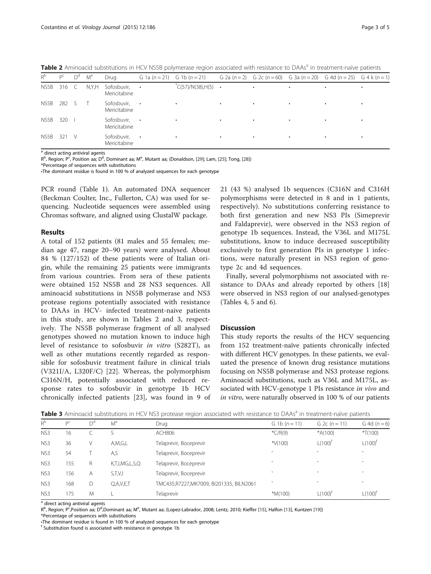Table 2 Aminoacid substitutions in HCV NS5B polymerase region associated with resistance to DAAs<sup>a</sup> in treatment-naïve patients

| $R^b$ | $P^C$ | $D^d$ | M <sup>e</sup> | Drug                        |           | G 1a $(n=21)$ G 1b $(n=21)$ |   |           |   | G 2a (n = 2) G 2c (n = 60) G 3a (n = 20) G 4d (n = 25) G 4 k (n = 1) |  |
|-------|-------|-------|----------------|-----------------------------|-----------|-----------------------------|---|-----------|---|----------------------------------------------------------------------|--|
| NS5B  | 316   | C.    | N,Y,H          | Sofosbuvir,<br>Mericitabine | $\bullet$ | $C(57)/N(38),H(5)$ .        |   | ٠         | ٠ | ٠                                                                    |  |
| NS5B  | 282   |       |                | Sofosbuvir,<br>Mericitabine | $\bullet$ |                             | ٠ | ٠         | ٠ | ٠                                                                    |  |
| NS5B  | 320   |       |                | Sofosbuvir,<br>Mericitabine | $\bullet$ |                             |   |           |   |                                                                      |  |
| NS5B  | 321   | V     |                | Sofosbuvir,<br>Mericitabine | $\bullet$ |                             | ٠ | $\bullet$ | ٠ | ٠                                                                    |  |
|       |       |       |                |                             |           |                             |   |           |   |                                                                      |  |

 $a$  direct acting antiviral agents

R<sup>b</sup>, Region; P<sup>c</sup>, Position aa; D<sup>d</sup>, Dominant aa; M<sup>e</sup>, Mutant aa; (Donaldson, [[29](#page-4-0)]; Lam, [\[25\]](#page-4-0); Tong, [\[28\]](#page-4-0))

\*Percentage of sequences with substitutions

•The dominant residue is found in 100 % of analyzed sequences for each genotype

PCR round (Table [1\)](#page-1-0). An automated DNA sequencer (Beckman Coulter, Inc., Fullerton, CA) was used for sequencing. Nucleotide sequences were assembled using Chromas software, and aligned using ClustalW package.

#### Results

A total of 152 patients (81 males and 55 females; median age 47, range 20–90 years) were analysed. About 84 % (127/152) of these patients were of Italian origin, while the remaining 25 patients were immigrants from various countries. From sera of these patients were obtained 152 NS5B and 28 NS3 sequences. All aminoacid substitutions in NS5B polymerase and NS3 protease regions potentially associated with resistance to DAAs in HCV- infected treatment-naive patients in this study, are shown in Tables 2 and 3, respectively. The NS5B polymerase fragment of all analysed genotypes showed no mutation known to induce high level of resistance to sofosbuvir in vitro (S282T), as well as other mutations recently regarded as responsible for sofosbuvir treatment failure in clinical trials (V321I/A, L320F/C) [[22\]](#page-4-0). Whereas, the polymorphism C316N/H, potentially associated with reduced response rates to sofosbuvir in genotype 1b HCV chronically infected patients [[23\]](#page-4-0), was found in 9 of 21 (43 %) analysed 1b sequences (C316N and C316H polymorphisms were detected in 8 and in 1 patients, respectively). No substitutions conferring resistance to both first generation and new NS3 PIs (Simeprevir and Faldaprevir), were observed in the NS3 region of genotype 1b sequences. Instead, the V36L and M175L substitutions, know to induce decreased susceptibility exclusively to first generation PIs in genotype 1 infections, were naturally present in NS3 region of genotype 2c and 4d sequences.

Finally, several polymorphisms not associated with resistance to DAAs and already reported by others [[18](#page-4-0)] were observed in NS3 region of our analysed-genotypes (Tables [4, 5](#page-3-0) and [6\)](#page-3-0).

#### **Discussion**

This study reports the results of the HCV sequencing from 152 treatment-naïve patients chronically infected with different HCV genotypes. In these patients, we evaluated the presence of known drug resistance mutations focusing on NS5B polymerase and NS3 protease regions. Aminoacid substitutions, such as V36L and M175L, associated with HCV-genotype 1 PIs resistance in vivo and in vitro, were naturally observed in 100 % of our patients

Table 3 Aminoacid substitutions in HCV NS3 protease region associated with resistance to DAAs<sup>a</sup> in treatment-naïve patients

| $R^b$           | $D^C$ | $D^{d}$ | M <sup>e</sup> | Drug                                    | G 1b $(n = 11)$          | G 2c $(n = 11)$ | G 4d $(n = 6)$ |
|-----------------|-------|---------|----------------|-----------------------------------------|--------------------------|-----------------|----------------|
| NS3             | 16    |         |                | <b>ACH806</b>                           | $*C/R(9)$                | $*A(100)$       | $*T(100)$      |
| NS <sub>3</sub> | 36    | V       | A,M,G,L        | Telaprevir, Boceprevir                  | * $V(100)$               | $L(100)^t$      | $L(100)^f$     |
| NS <sub>3</sub> | 54    |         | A,S            | Telaprevir, Boceprevir                  | $\cdot$                  | $\bullet$       | ٠              |
| NS3             | 155   | R       | K,T,I,MG,L,S,Q | Telaprevir, Boceprevir                  | $\bullet$                | $\bullet$       | ۰              |
| NS3             | 156   | A       | S,T,V,I        | Telaprevir, Boceprevir                  | $\overline{\phantom{a}}$ | $\bullet$       | ۰              |
| NS3             | 168   | D       | Q,A,V,E,T      | TMC435,R7227,MK7009, BI201335, BILN2061 | $\bullet$                | $\cdot$         | ٠              |
| NS <sub>3</sub> | 175   | M       |                | Telaprevir                              | $*M(100)$                | $L(100)^{t}$    | $L(100)^t$     |

<sup>a</sup> direct acting antiviral agents

R<sup>b</sup>, Region; P<sup>c</sup>,Position aa; D<sup>d</sup>,Dominant aa; M<sup>e</sup>, Mutant aa; (Lopez-Labrador, 2008; Lentz, 2010; Kieffer [[15\]](#page-4-0), Halfon [[13\]](#page-4-0), Kuntzen [\[19\]](#page-4-0))

\*Percentage of sequences with substitutions •The dominant residue is found in 100 % of analyzed sequences for each genotype

<sup>f</sup> Substitution found is associated with resistance in genotype 1b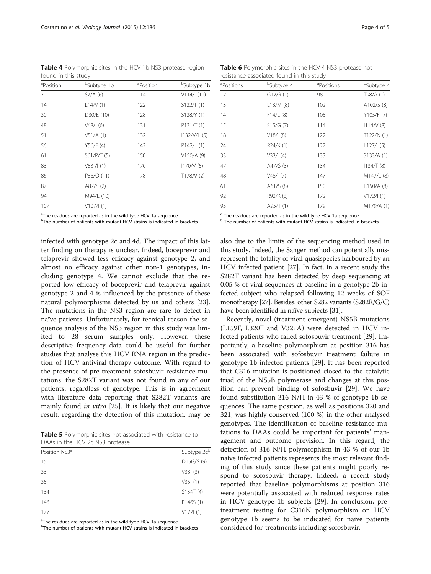<span id="page-3-0"></span>Table 4 Polymorphic sites in the HCV 1b NS3 protease region found in this study

| <sup>a</sup> Position | <sup>b</sup> Subtype 1b | <sup>a</sup> Position | <sup>b</sup> Subtype 1b |
|-----------------------|-------------------------|-----------------------|-------------------------|
| $\overline{7}$        | $S7/A$ (6)              | 114                   | V114/1(11)              |
| 14                    | L14/V(1)                | 122                   | S122/T(1)               |
| 30                    | D30/E (10)              | 128                   | S128/Y (1)              |
| 48                    | V48/1(6)                | 131                   | P131/T(1)               |
| 51                    | V51/A(1)                | 132                   | 1132/V/L(5)             |
| 56                    | Y56/F (4)               | 142                   | $P142/L$ (1)            |
| 61                    | S61/P/T(5)              | 150                   | $V150/A$ (9)            |
| 83                    | V83 / I(1)              | 170                   | 1170/V(5)               |
| 86                    | P86/Q (11)              | 178                   | T178/V(2)               |
| 87                    | A87/S (2)               |                       |                         |
| 94                    | M94/L (10)              |                       |                         |
| 107                   | V107/I(1)               |                       |                         |
| $2 - 1$               |                         |                       |                         |

<sup>a</sup>The residues are reported as in the wild-type HCV-1a sequence

<sup>b</sup>The number of patients with mutant HCV strains is indicated in brackets

infected with genotype 2c and 4d. The impact of this latter finding on therapy is unclear. Indeed, boceprevir and telaprevir showed less efficacy against genotype 2, and almost no efficacy against other non-1 genotypes, including genotype 4. We cannot exclude that the reported low efficacy of boceprevir and telaprevir against genotype 2 and 4 is influenced by the presence of these natural polymorphisms detected by us and others [\[23](#page-4-0)]. The mutations in the NS3 region are rare to detect in naïve patients. Unfortunately, for tecnical reason the sequence analysis of the NS3 region in this study was limited to 28 serum samples only. However, these descriptive frequency data could be useful for further studies that analyse this HCV RNA region in the prediction of HCV antiviral therapy outcome. With regard to the presence of pre-treatment sofosbuvir resistance mutations, the S282T variant was not found in any of our patients, regardless of genotype. This is in agreement with literature data reporting that S282T variants are mainly found in vitro [[25\]](#page-4-0). It is likely that our negative result, regarding the detection of this mutation, may be

Table 5 Polymorphic sites not associated with resistance to DAAs in the HCV 2c NS3 protease

| Position NS3 <sup>a</sup> | Subtype 2c <sup>b</sup> |
|---------------------------|-------------------------|
| 15                        | D15G/S(9)               |
| 33                        | V331(3)                 |
| 35                        | V35I(1)                 |
| 134                       | S134T(4)                |
| 146                       | P146S (1)               |
| 177                       | V177I(1)                |

<sup>a</sup>The residues are reported as in the wild-type HCV-1a sequence

<sup>b</sup>The number of patients with mutant HCV strains is indicated in brackets

| <b>Table 6</b> Polymorphic sites in the HCV-4 NS3 protease not |  |
|----------------------------------------------------------------|--|
| resistance-associated found in this study                      |  |

| <sup>a</sup> Positions                | <sup>b</sup> Subtype 4 | <sup>a</sup> Positions | <sup>b</sup> Subtype 4 |
|---------------------------------------|------------------------|------------------------|------------------------|
| 12                                    | G12/R(1)               | 98                     | T98/A (1)              |
| 13                                    | L13/M(8)               | 102                    | A102/S (8)             |
| 14                                    | $F14/L$ (8)            | 105                    | Y105/F (7)             |
| 15                                    | S15/G(7)               | 114                    | 1114/V(8)              |
| 18                                    | V18/1(8)               | 122                    | T122/N(1)              |
| 24                                    | R24/K (1)              | 127                    | L127/l(5)              |
| 33                                    | V33/I(4)               | 133                    | S133/A(1)              |
| 47                                    | A47/S (3)              | 134                    | 1134/T(8)              |
| 48                                    | V48/1(7)               | 147                    | M147/L (8)             |
| 61                                    | A61/S(8)               | 150                    | R150/A (8)             |
| 92                                    | R92/K (8)              | 172                    | V172/I(1)              |
| 95                                    | A95/T(1)               | 179                    | M179/A (1)             |
| $\lambda = 0$<br>$\ddot{\phantom{1}}$ |                        |                        |                        |

The residues are reported as in the wild-type HCV-1a sequence

b The number of patients with mutant HCV strains is indicated in brackets

also due to the limits of the sequencing method used in this study. Indeed, the Sanger method can potentially misrepresent the totality of viral quasispecies harboured by an HCV infected patient [\[27\]](#page-4-0). In fact, in a recent study the S282T variant has been detected by deep sequencing at 0.05 % of viral sequences at baseline in a genotype 2b infected subject who relapsed following 12 weeks of SOF monotherapy [\[27](#page-4-0)]. Besides, other S282 variants (S282R/G/C) have been identified in naïve subjects [[31](#page-4-0)].

Recently, novel (treatment-emergent) NS5B mutations (L159F, L320F and V321A) were detected in HCV infected patients who failed sofosbuvir treatment [\[29\]](#page-4-0). Importantly, a baseline polymorphism at position 316 has been associated with sofosbuvir treatment failure in genotype 1b infected patients [\[29](#page-4-0)]. It has been reported that C316 mutation is positioned closed to the catalytic triad of the NS5B polymerase and changes at this position can prevent binding of sofosbuvir [\[29\]](#page-4-0). We have found substitution 316 N/H in 43 % of genotype 1b sequences. The same position, as well as positions 320 and 321, was highly conserved (100 %) in the other analysed genotypes. The identification of baseline resistance mutations to DAAs could be important for patients' management and outcome prevision. In this regard, the detection of 316 N/H polymorphism in 43 % of our 1b naive infected patients represents the most relevant finding of this study since these patients might poorly respond to sofosbuvir therapy. Indeed, a recent study reported that baseline polymorphisms at position 316 were potentially associated with reduced response rates in HCV genotype 1b subjects [\[29](#page-4-0)]. In conclusion, pretreatment testing for C316N polymorphism on HCV genotype 1b seems to be indicated for naïve patients considered for treatments including sofosbuvir.